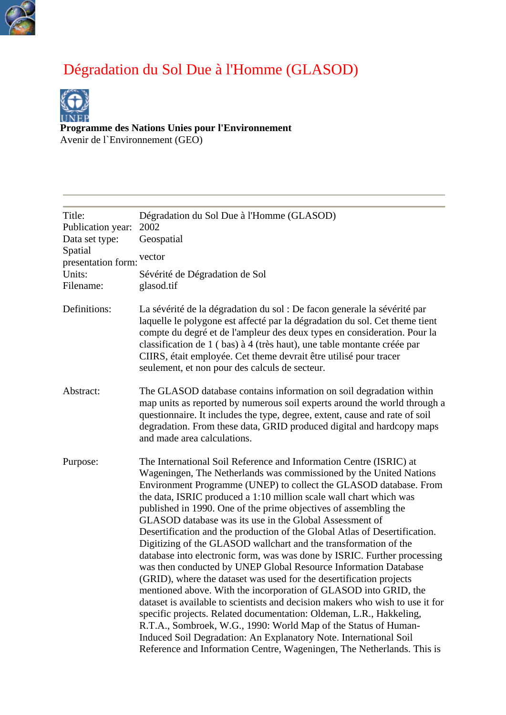

## Dégradation du Sol Due à l'Homme (GLASOD)



**[Program](http://www.unep.org/)me des Nations Unies pour l'Environnement**

Avenir de l`Environnement (GEO)

| Title:<br>Publication year:<br>Data set type:<br>Spatial<br>presentation form:<br>Units:<br>Filename: | Dégradation du Sol Due à l'Homme (GLASOD)<br>2002<br>Geospatial<br>vector<br>Sévérité de Dégradation de Sol<br>glasod.tif                                                                                                                                                                                                                                                                                                                                                                                                                                                                                                                                                                                                                                                                                                                                                                                                                                                                                                                                                                                                                                                                                                                |
|-------------------------------------------------------------------------------------------------------|------------------------------------------------------------------------------------------------------------------------------------------------------------------------------------------------------------------------------------------------------------------------------------------------------------------------------------------------------------------------------------------------------------------------------------------------------------------------------------------------------------------------------------------------------------------------------------------------------------------------------------------------------------------------------------------------------------------------------------------------------------------------------------------------------------------------------------------------------------------------------------------------------------------------------------------------------------------------------------------------------------------------------------------------------------------------------------------------------------------------------------------------------------------------------------------------------------------------------------------|
| Definitions:                                                                                          | La sévérité de la dégradation du sol : De facon generale la sévérité par<br>laquelle le polygone est affecté par la dégradation du sol. Cet theme tient<br>compte du degré et de l'ampleur des deux types en consideration. Pour la<br>classification de 1 (bas) à 4 (très haut), une table montante créée par<br>CIIRS, était employée. Cet theme devrait être utilisé pour tracer<br>seulement, et non pour des calculs de secteur.                                                                                                                                                                                                                                                                                                                                                                                                                                                                                                                                                                                                                                                                                                                                                                                                    |
| Abstract:                                                                                             | The GLASOD database contains information on soil degradation within<br>map units as reported by numerous soil experts around the world through a<br>questionnaire. It includes the type, degree, extent, cause and rate of soil<br>degradation. From these data, GRID produced digital and hardcopy maps<br>and made area calculations.                                                                                                                                                                                                                                                                                                                                                                                                                                                                                                                                                                                                                                                                                                                                                                                                                                                                                                  |
| Purpose:                                                                                              | The International Soil Reference and Information Centre (ISRIC) at<br>Wageningen, The Netherlands was commissioned by the United Nations<br>Environment Programme (UNEP) to collect the GLASOD database. From<br>the data, ISRIC produced a 1:10 million scale wall chart which was<br>published in 1990. One of the prime objectives of assembling the<br>GLASOD database was its use in the Global Assessment of<br>Desertification and the production of the Global Atlas of Desertification.<br>Digitizing of the GLASOD wallchart and the transformation of the<br>database into electronic form, was was done by ISRIC. Further processing<br>was then conducted by UNEP Global Resource Information Database<br>(GRID), where the dataset was used for the desertification projects<br>mentioned above. With the incorporation of GLASOD into GRID, the<br>dataset is available to scientists and decision makers who wish to use it for<br>specific projects. Related documentation: Oldeman, L.R., Hakkeling,<br>R.T.A., Sombroek, W.G., 1990: World Map of the Status of Human-<br>Induced Soil Degradation: An Explanatory Note. International Soil<br>Reference and Information Centre, Wageningen, The Netherlands. This is |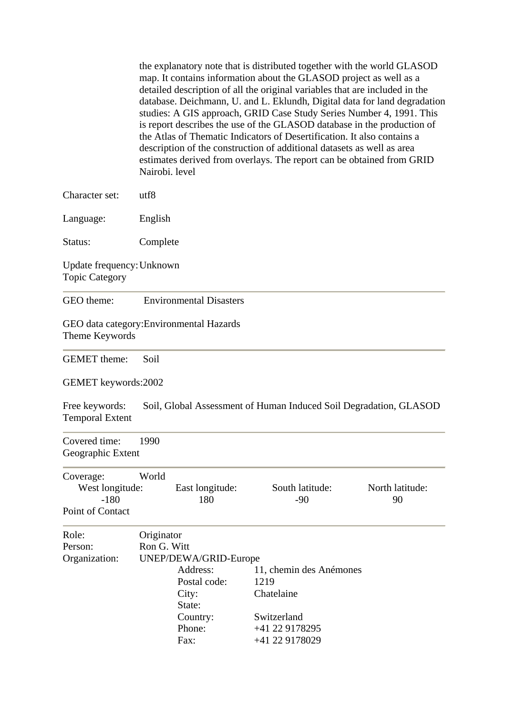the explanatory note that is distributed together with the world GLASOD map. It contains information about the GLASOD project as well as a detailed description of all the original variables that are included in the database. Deichmann, U. and L. Eklundh, Digital data for land degradation studies: A GIS approach, GRID Case Study Series Number 4, 1991. This is report describes the use of the GLASOD database in the production of the Atlas of Thematic Indicators of Desertification. It also contains a description of the construction of additional datasets as well as area estimates derived from overlays. The report can be obtained from GRID Nairobi. level

| Character set:                                             | utf8                      |                                                                                        |                                                                                                           |                       |  |  |
|------------------------------------------------------------|---------------------------|----------------------------------------------------------------------------------------|-----------------------------------------------------------------------------------------------------------|-----------------------|--|--|
| Language:                                                  | English                   |                                                                                        |                                                                                                           |                       |  |  |
| Status:                                                    | Complete                  |                                                                                        |                                                                                                           |                       |  |  |
| Update frequency: Unknown<br><b>Topic Category</b>         |                           |                                                                                        |                                                                                                           |                       |  |  |
| GEO theme:                                                 |                           | <b>Environmental Disasters</b>                                                         |                                                                                                           |                       |  |  |
| GEO data category: Environmental Hazards<br>Theme Keywords |                           |                                                                                        |                                                                                                           |                       |  |  |
| <b>GEMET</b> theme:                                        | Soil                      |                                                                                        |                                                                                                           |                       |  |  |
| GEMET keywords:2002                                        |                           |                                                                                        |                                                                                                           |                       |  |  |
| Free keywords:<br><b>Temporal Extent</b>                   |                           |                                                                                        | Soil, Global Assessment of Human Induced Soil Degradation, GLASOD                                         |                       |  |  |
| Covered time:<br>Geographic Extent                         | 1990                      |                                                                                        |                                                                                                           |                       |  |  |
| Coverage:<br>West longitude:<br>$-180$<br>Point of Contact | World                     | East longitude:<br>180                                                                 | South latitude:<br>$-90$                                                                                  | North latitude:<br>90 |  |  |
| Role:<br>Person:<br>Organization:                          | Originator<br>Ron G. Witt | UNEP/DEWA/GRID-Europe<br>Postal code:<br>City:<br>State:<br>Country:<br>Phone:<br>Fax: | Address: 11, chemin des Anémones<br>1219<br>Chatelaine<br>Switzerland<br>+41 22 9178295<br>+41 22 9178029 |                       |  |  |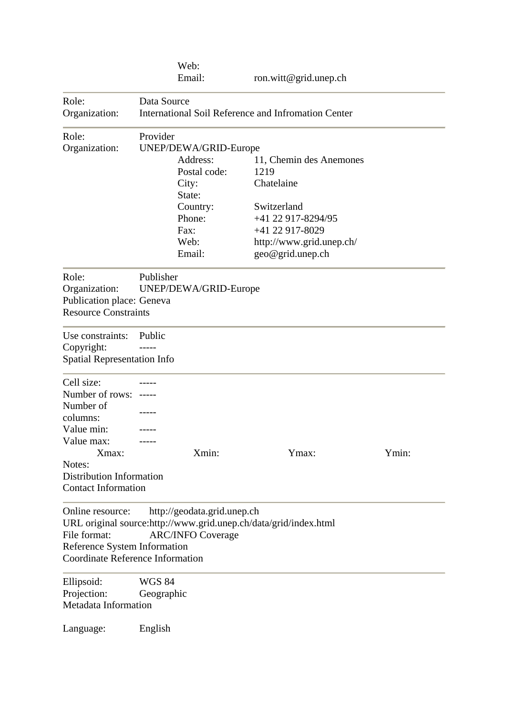|                                                                         | Web:                                                               |                             |                                                                  |       |  |  |
|-------------------------------------------------------------------------|--------------------------------------------------------------------|-----------------------------|------------------------------------------------------------------|-------|--|--|
|                                                                         | Email:                                                             |                             | ron.witt@grid.unep.ch                                            |       |  |  |
| Role:<br>Organization:                                                  | Data Source<br>International Soil Reference and Infromation Center |                             |                                                                  |       |  |  |
| Role:                                                                   | Provider                                                           |                             |                                                                  |       |  |  |
| Organization:                                                           | UNEP/DEWA/GRID-Europe                                              |                             |                                                                  |       |  |  |
|                                                                         | Address:                                                           |                             | 11, Chemin des Anemones                                          |       |  |  |
|                                                                         |                                                                    | Postal code:                | 1219                                                             |       |  |  |
|                                                                         | City:                                                              |                             | Chatelaine                                                       |       |  |  |
|                                                                         | State:                                                             |                             |                                                                  |       |  |  |
|                                                                         |                                                                    | Country:                    | Switzerland                                                      |       |  |  |
|                                                                         | Phone:                                                             |                             | +41 22 917-8294/95                                               |       |  |  |
|                                                                         | Fax:                                                               |                             | +41 22 917-8029                                                  |       |  |  |
|                                                                         | Web:                                                               |                             | http://www.grid.unep.ch/                                         |       |  |  |
|                                                                         | Email:                                                             |                             | geo@grid.unep.ch                                                 |       |  |  |
| Role:                                                                   | Publisher                                                          |                             |                                                                  |       |  |  |
| Organization:                                                           | UNEP/DEWA/GRID-Europe                                              |                             |                                                                  |       |  |  |
| Publication place: Geneva                                               |                                                                    |                             |                                                                  |       |  |  |
| <b>Resource Constraints</b>                                             |                                                                    |                             |                                                                  |       |  |  |
| Use constraints:                                                        | Public                                                             |                             |                                                                  |       |  |  |
| Copyright:                                                              |                                                                    |                             |                                                                  |       |  |  |
| <b>Spatial Representation Info</b>                                      |                                                                    |                             |                                                                  |       |  |  |
| Cell size:                                                              |                                                                    |                             |                                                                  |       |  |  |
| Number of rows:                                                         |                                                                    |                             |                                                                  |       |  |  |
| Number of                                                               |                                                                    |                             |                                                                  |       |  |  |
| columns:                                                                |                                                                    |                             |                                                                  |       |  |  |
| Value min:                                                              |                                                                    |                             |                                                                  |       |  |  |
| Value max:                                                              |                                                                    |                             |                                                                  |       |  |  |
| Xmax:                                                                   |                                                                    | Xmin:                       | Ymax:                                                            | Ymin: |  |  |
| Notes:                                                                  |                                                                    |                             |                                                                  |       |  |  |
| <b>Distribution Information</b><br><b>Contact Information</b>           |                                                                    |                             |                                                                  |       |  |  |
|                                                                         |                                                                    |                             |                                                                  |       |  |  |
| Online resource:                                                        |                                                                    | http://geodata.grid.unep.ch |                                                                  |       |  |  |
|                                                                         |                                                                    |                             | URL original source:http://www.grid.unep.ch/data/grid/index.html |       |  |  |
| File format:                                                            | <b>ARC/INFO Coverage</b>                                           |                             |                                                                  |       |  |  |
| Reference System Information<br><b>Coordinate Reference Information</b> |                                                                    |                             |                                                                  |       |  |  |
|                                                                         |                                                                    |                             |                                                                  |       |  |  |
| Ellipsoid:                                                              | <b>WGS 84</b>                                                      |                             |                                                                  |       |  |  |
| Projection:                                                             | Geographic                                                         |                             |                                                                  |       |  |  |
| Metadata Information                                                    |                                                                    |                             |                                                                  |       |  |  |
| Language:                                                               | English                                                            |                             |                                                                  |       |  |  |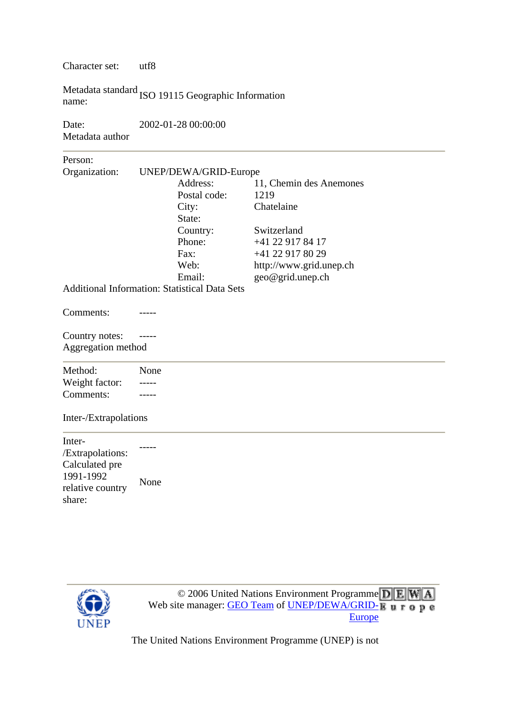Character set: utf8

Metadata standard<br>name:<br>ISO 19115 Geographic Information

| Date:           | 2002-01-28 00:00:00 |
|-----------------|---------------------|
| Metadata author |                     |

Person:

Organization: UNEP/DEWA/GRID-Europe Address: 11, Chemin des Anemones Postal code: 1219 City: Chatelaine State: Country: Switzerland

> Phone: +41 22 917 84 17 Fax: +41 22 917 80 29 Web: http://www.grid.unep.ch Email: geo@grid.unep.ch

Additional Information: Statistical Data Sets

Comments: -----

Country notes: ----- Aggregation method

| Method:        | None |
|----------------|------|
| Weight factor: |      |
| Comments:      |      |

## Inter-/Extrapolations

Inter- /Extrapolations: Calculated pre 1991-1992 relative country hare: s None



 $\circ$  2006 Unit[e](http://www.grid.unep.ch/)d Nations Environment Programme  $\overline{D}$  E Web site manager: [GEO Team](http://geodata.grid.unep.ch/extras/contact.php) of [UNEP/DEWA/GRID-](http://www.grid.unep.ch/)[Europe](http://www.grid.unep.ch/)

[The United Nations Environment Programme \(UNEP\) is not](http://www.grid.unep.ch/)